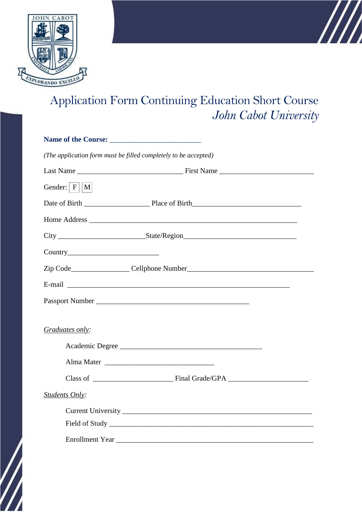

## Application Form Continuing Education Short Course *John Cabot University*

 $\mathbb{Z}$ 

|                 | (The application form must be filled completely to be accepted)                                                                                                                                                                |  |
|-----------------|--------------------------------------------------------------------------------------------------------------------------------------------------------------------------------------------------------------------------------|--|
|                 |                                                                                                                                                                                                                                |  |
| Gender: $ F  M$ |                                                                                                                                                                                                                                |  |
|                 |                                                                                                                                                                                                                                |  |
|                 |                                                                                                                                                                                                                                |  |
|                 |                                                                                                                                                                                                                                |  |
|                 |                                                                                                                                                                                                                                |  |
|                 |                                                                                                                                                                                                                                |  |
|                 | E-mail explorer and the second contract of the second contract of the second contract of the second contract of the second contract of the second contract of the second contract of the second contract of the second contrac |  |
|                 |                                                                                                                                                                                                                                |  |
|                 |                                                                                                                                                                                                                                |  |
| Graduates only: |                                                                                                                                                                                                                                |  |
|                 | Academic Degree                                                                                                                                                                                                                |  |
|                 |                                                                                                                                                                                                                                |  |
|                 |                                                                                                                                                                                                                                |  |
| Students Only:  |                                                                                                                                                                                                                                |  |
|                 |                                                                                                                                                                                                                                |  |
|                 |                                                                                                                                                                                                                                |  |
|                 | Enrollment Year                                                                                                                                                                                                                |  |